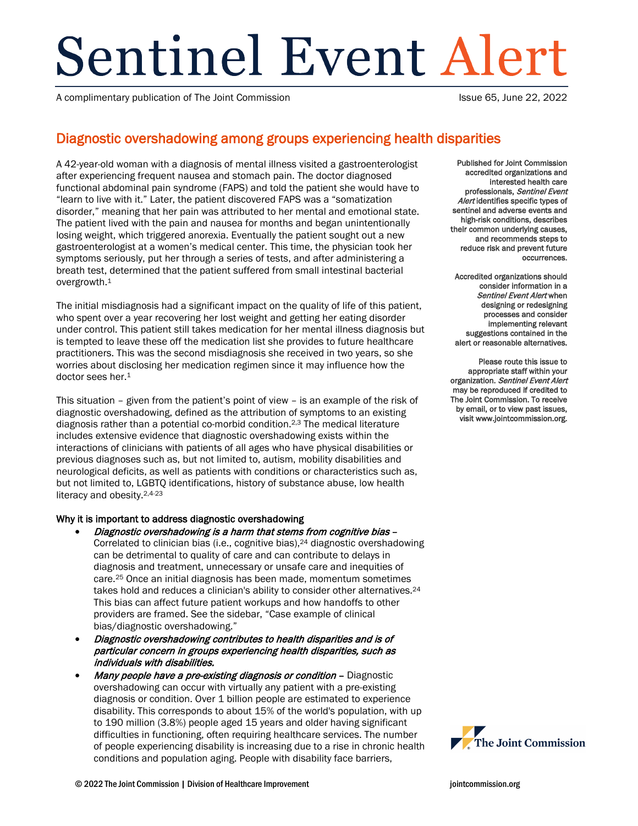# Sentinel Event Alert

A complimentary publication of The Joint Commission **Issue 65, June 22, 2022** 

# Diagnostic overshadowing among groups experiencing health disparities

A 42-year-old woman with a diagnosis of mental illness visited a gastroenterologist after experiencing frequent nausea and stomach pain. The doctor diagnosed functional abdominal pain syndrome (FAPS) and told the patient she would have to "learn to live with it." Later, the patient discovered FAPS was a "somatization disorder," meaning that her pain was attributed to her mental and emotional state. The patient lived with the pain and nausea for months and began unintentionally losing weight, which triggered anorexia. Eventually the patient sought out a new gastroenterologist at a women's medical center. This time, the physician took her symptoms seriously, put her through a series of tests, and after administering a breath test, determined that the patient suffered from small intestinal bacterial overgrowth.1

The initial misdiagnosis had a significant impact on the quality of life of this patient, who spent over a year recovering her lost weight and getting her eating disorder under control. This patient still takes medication for her mental illness diagnosis but is tempted to leave these off the medication list she provides to future healthcare practitioners. This was the second misdiagnosis she received in two years, so she worries about disclosing her medication regimen since it may influence how the doctor sees her.<sup>1</sup>

This situation – given from the patient's point of view – is an example of the risk of diagnostic overshadowing, defined as the attribution of symptoms to an existing diagnosis rather than a potential co-morbid condition. 2,3 The medical literature includes extensive evidence that diagnostic overshadowing exists within the interactions of clinicians with patients of all ages who have physical disabilities or previous diagnoses such as, but not limited to, autism, mobility disabilities and neurological deficits, as well as patients with conditions or characteristics such as, but not limited to, LGBTQ identifications, history of substance abuse, low health literacy and obesity.2,4-23

# Why it is important to address diagnostic overshadowing

- Diagnostic overshadowing is a harm that stems from cognitive bias Correlated to clinician bias (i.e., cognitive bias),<sup>24</sup> diagnostic overshadowing can be detrimental to quality of care and can contribute to delays in diagnosis and treatment, unnecessary or unsafe care and inequities of care. <sup>25</sup> Once an initial diagnosis has been made, momentum sometimes takes hold and reduces a clinician's ability to consider other alternatives.<sup>24</sup> This bias can affect future patient workups and how handoffs to other providers are framed. See the sidebar, "Case example of clinical bias/diagnostic overshadowing."
- Diagnostic overshadowing contributes to health disparities and is of particular concern in groups experiencing health disparities, such as individuals with disabilities.
- Many people have a pre-existing diagnosis or condition Diagnostic overshadowing can occur with virtually any patient with a pre-existing diagnosis or condition. Over 1 billion people are estimated to experience disability. This corresponds to about 15% of the world's population, with up to 190 million (3.8%) people aged 15 years and older having significant difficulties in functioning, often requiring healthcare services. The number of people experiencing disability is increasing due to a rise in chronic health conditions and population aging. People with disability face barriers,

Published for Joint Commission accredited organizations and interested health care professionals, Sentinel Event Alert identifies specific types of sentinel and adverse events and high-risk conditions, describes their common underlying causes, and recommends steps to reduce risk and prevent future occurrences.

Accredited organizations should consider information in a Sentinel Event Alert when designing or redesigning processes and consider implementing relevant suggestions contained in the alert or reasonable alternatives.

Please route this issue to appropriate staff within your organization. Sentinel Event Alert may be reproduced if credited to The Joint Commission. To receive by email, or to view past issues, visit www.jointcommission.org.

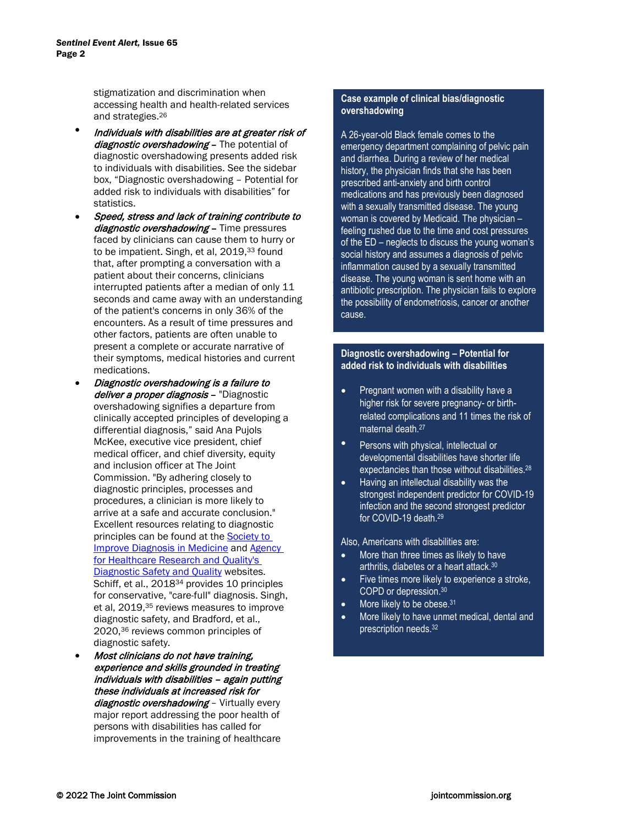stigmatization and discrimination when accessing health and health-related services and strategies.26

- Individuals with disabilities are at greater risk of diagnostic overshadowing - The potential of diagnostic overshadowing presents added risk to individuals with disabilities. See the sidebar box, "Diagnostic overshadowing – Potential for added risk to individuals with disabilities" for statistics.
- Speed, stress and lack of training contribute to diagnostic overshadowing - Time pressures faced by clinicians can cause them to hurry or to be impatient. Singh, et al, 2019,<sup>33</sup> found that, after prompting a conversation with a patient about their concerns, clinicians interrupted patients after a median of only 11 seconds and came away with an understanding of the patient's concerns in only 36% of the encounters. As a result of time pressures and other factors, patients are often unable to present a complete or accurate narrative of their symptoms, medical histories and current medications.
- Diagnostic overshadowing is a failure to deliver a proper diagnosis - "Diagnostic overshadowing signifies a departure from clinically accepted principles of developing a differential diagnosis," said Ana Pujols McKee, executive vice president, chief medical officer, and chief diversity, equity and inclusion officer at The Joint Commission. "By adhering closely to diagnostic principles, processes and procedures, a clinician is more likely to arrive at a safe and accurate conclusion." Excellent resources relating to diagnostic principles can be found at the [Society to](https://www.improvediagnosis.org/)  [Improve Diagnosis in Medicine](https://www.improvediagnosis.org/) and [Agency](https://www.ahrq.gov/topics/diagnostic-safety-and-quality.html#:%7E:text=Diagnostic%20errors%20occur%20in%20all,safety%20and%20reduce%20diagnostic%20error)  [for Healthcare Research and Quality's](https://www.ahrq.gov/topics/diagnostic-safety-and-quality.html#:%7E:text=Diagnostic%20errors%20occur%20in%20all,safety%20and%20reduce%20diagnostic%20error)  [Diagnostic Safety and Quality](https://www.ahrq.gov/topics/diagnostic-safety-and-quality.html#:%7E:text=Diagnostic%20errors%20occur%20in%20all,safety%20and%20reduce%20diagnostic%20error) websites. Schiff, et al., 2018<sup>34</sup> provides 10 principles for conservative, "care-full" diagnosis. Singh, et al, 2019,35 reviews measures to improve diagnostic safety, and Bradford, et al., 2020,36 reviews common principles of diagnostic safety.
- Most clinicians do not have training, experience and skills grounded in treating individuals with disabilities – again putting these individuals at increased risk for diagnostic overshadowing - Virtually every major report addressing the poor health of persons with disabilities has called for improvements in the training of healthcare

#### **Case example of clinical bias/diagnostic overshadowing**

social history and assumes a diagnosis of pelvic<br>social history and assumes a diagnosis of pelvic inflammation caused by a sexually transmitted disease. The young woman is sent home with an antibiotic prescription. The physician fails to explore A 26-year-old Black female comes to the emergency department complaining of pelvic pain and diarrhea. During a review of her medical history, the physician finds that she has been prescribed anti-anxiety and birth control medications and has previously been diagnosed with a sexually transmitted disease. The young woman is covered by Medicaid. The physician – feeling rushed due to the time and cost pressures of the ED – neglects to discuss the young woman's the possibility of endometriosis, cancer or another cause.

#### **Diagnostic overshadowing – Potential for added risk to individuals with disabilities**

- Pregnant women with a disability have a higher risk for severe pregnancy- or birthrelated complications and 11 times the risk of maternal death. 27
- Persons with physical, intellectual or developmental disabilities have shorter life expectancies than those without disabilities.<sup>28</sup>
- Having an intellectual disability was the strongest independent predictor for COVID-19 infection and the second strongest predictor for COVID-19 death. 29

Also, Americans with disabilities are:

- More than three times as likely to have arthritis, diabetes or a heart attack. 30
- Five times more likely to experience a stroke, COPD or depression. 30
- More likely to be obese.<sup>31</sup>
- More likely to have unmet medical, dental and prescription needs. 32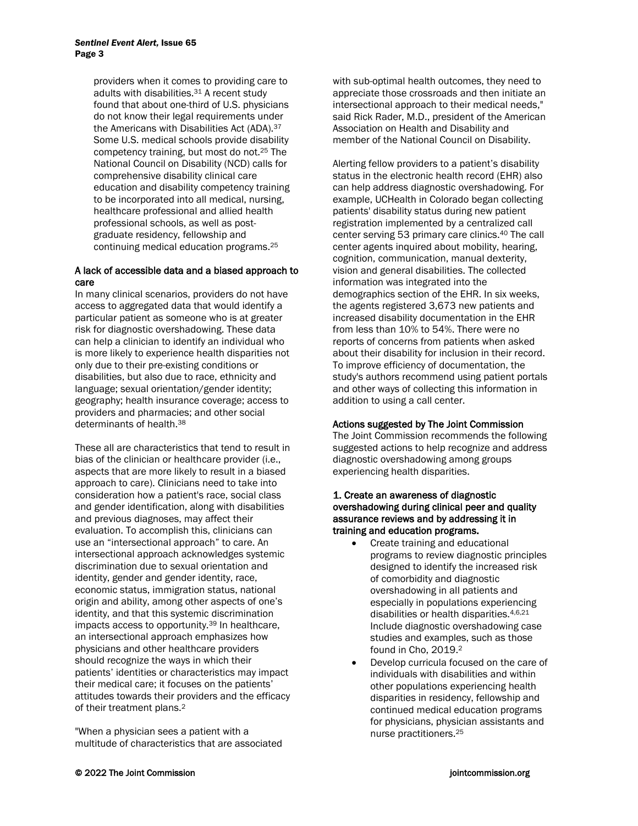providers when it comes to providing care to adults with disabilities.31 A recent study found that about one-third of U.S. physicians do not know their legal requirements under the Americans with Disabilities Act (ADA).37 Some U.S. medical schools provide disability competency training, but most do not. <sup>25</sup> The National Council on Disability (NCD) calls for comprehensive disability clinical care education and disability competency training to be incorporated into all medical, nursing, healthcare professional and allied health professional schools, as well as postgraduate residency, fellowship and continuing medical education programs. 25

#### A lack of accessible data and a biased approach to care

In many clinical scenarios, providers do not have access to aggregated data that would identify a particular patient as someone who is at greater risk for diagnostic overshadowing. These data can help a clinician to identify an individual who is more likely to experience health disparities not only due to their pre-existing conditions or disabilities, but also due to race, ethnicity and language; sexual orientation/gender identity; geography; health insurance coverage; access to providers and pharmacies; and other social determinants of health.38

These all are characteristics that tend to result in bias of the clinician or healthcare provider (i.e., aspects that are more likely to result in a biased approach to care). Clinicians need to take into consideration how a patient's race, social class and gender identification, along with disabilities and previous diagnoses, may affect their evaluation. To accomplish this, clinicians can use an "intersectional approach" to care. An intersectional approach acknowledges systemic discrimination due to sexual orientation and identity, gender and gender identity, race, economic status, immigration status, national origin and ability, among other aspects of one's identity, and that this systemic discrimination impacts access to opportunity. <sup>39</sup> In healthcare, an intersectional approach emphasizes how physicians and other healthcare providers should recognize the ways in which their patients' identities or characteristics may impact their medical care; it focuses on the patients' attitudes towards their providers and the efficacy of their treatment plans.2

"When a physician sees a patient with a multitude of characteristics that are associated with sub-optimal health outcomes, they need to appreciate those crossroads and then initiate an intersectional approach to their medical needs," said Rick Rader, M.D., president of the American Association on Health and Disability and member of the National Council on Disability.

Alerting fellow providers to a patient's disability status in the electronic health record (EHR) also can help address diagnostic overshadowing. For example, UCHealth in Colorado began collecting patients' disability status during new patient registration implemented by a centralized call center serving 53 primary care clinics.40 The call center agents inquired about mobility, hearing, cognition, communication, manual dexterity, vision and general disabilities. The collected information was integrated into the demographics section of the EHR. In six weeks, the agents registered 3,673 new patients and increased disability documentation in the EHR from less than 10% to 54%. There were no reports of concerns from patients when asked about their disability for inclusion in their record. To improve efficiency of documentation, the study's authors recommend using patient portals and other ways of collecting this information in addition to using a call center.

# Actions suggested by The Joint Commission

The Joint Commission recommends the following suggested actions to help recognize and address diagnostic overshadowing among groups experiencing health disparities.

#### 1. Create an awareness of diagnostic overshadowing during clinical peer and quality assurance reviews and by addressing it in training and education programs.

- Create training and educational programs to review diagnostic principles designed to identify the increased risk of comorbidity and diagnostic overshadowing in all patients and especially in populations experiencing disabilities or health disparities. 4,6,21 Include diagnostic overshadowing case studies and examples, such as those found in Cho, 2019. 2
- Develop curricula focused on the care of individuals with disabilities and within other populations experiencing health disparities in residency, fellowship and continued medical education programs for physicians, physician assistants and nurse practitioners. 25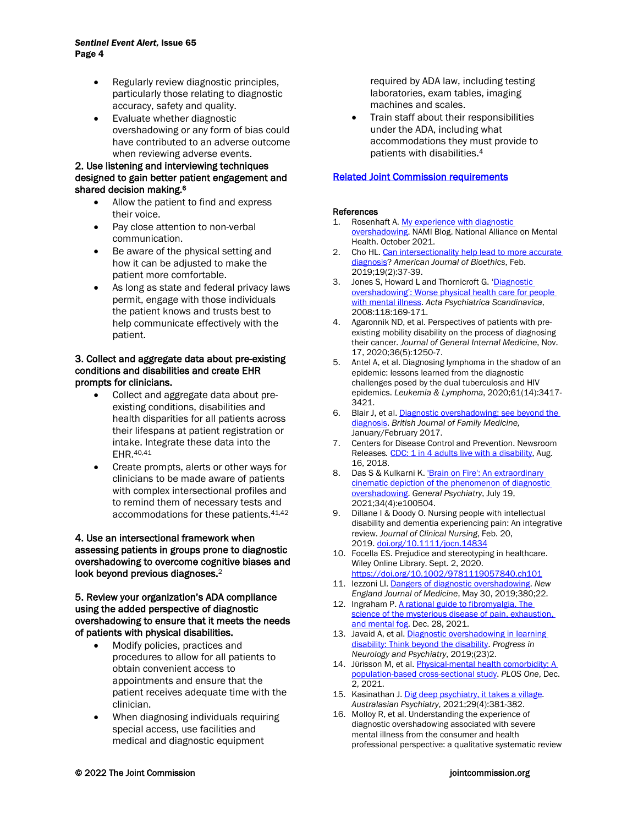- Regularly review diagnostic principles, particularly those relating to diagnostic accuracy, safety and quality.
- Evaluate whether diagnostic overshadowing or any form of bias could have contributed to an adverse outcome when reviewing adverse events.

#### 2. Use listening and interviewing techniques designed to gain better patient engagement and shared decision making.<sup>6</sup>

- Allow the patient to find and express their voice.
- Pay close attention to non-verbal communication.
- Be aware of the physical setting and how it can be adjusted to make the patient more comfortable.
- As long as state and federal privacy laws permit, engage with those individuals the patient knows and trusts best to help communicate effectively with the patient.

#### 3. Collect and aggregate data about pre-existing conditions and disabilities and create EHR prompts for clinicians.

- Collect and aggregate data about preexisting conditions, disabilities and health disparities for all patients across their lifespans at patient registration or intake. Integrate these data into the EHR.40,41
- Create prompts, alerts or other ways for clinicians to be made aware of patients with complex intersectional profiles and to remind them of necessary tests and accommodations for these patients. 41,42

#### 4. Use an intersectional framework when assessing patients in groups prone to diagnostic overshadowing to overcome cognitive biases and look beyond previous diagnoses.<sup>2</sup>

#### 5. Review your organization's ADA compliance using the added perspective of diagnostic overshadowing to ensure that it meets the needs of patients with physical disabilities.

- Modify policies, practices and procedures to allow for all patients to obtain convenient access to appointments and ensure that the patient receives adequate time with the clinician.
- When diagnosing individuals requiring special access, use facilities and medical and diagnostic equipment

required by ADA law, including testing laboratories, exam tables, imaging machines and scales.

• Train staff about their responsibilities under the ADA, including what accommodations they must provide to patients with disabilities. 4

## [Related Joint Commission requirements](#page-5-0)

#### References

- 1. Rosenhaft A. My experience with diagnostic [overshadowing.](https://www.nami.org/Blogs/NAMI-Blog/October-2021/My-Experience-with-Diagnostic-Overshadowing) NAMI Blog. National Alliance on Mental Health. October 2021.
- 2. Cho HL. Can intersectionality help lead to more accurate [diagnosis?](https://www.ncbi.nlm.nih.gov/pmc/articles/PMC6383785/) *American Journal of Bioethics*, Feb. 2019;19(2):37-39.
- 3. Jones S, Howard L and Thornicroft G. 'Diagnostic [overshadowing': Worse physical health care for people](https://psycnet.apa.org/record/2008-11097-001) [with mental illness.](https://psycnet.apa.org/record/2008-11097-001) *Acta Psychiatrica Scandinavica*, 2008:118:169-171.
- 4. Agaronnik ND, et al. Perspectives of patients with preexisting mobility disability on the process of diagnosing their cancer. *Journal of General Internal Medicine*, Nov. 17, 2020;36(5):1250-7.
- 5. Antel A, et al. Diagnosing lymphoma in the shadow of an epidemic: lessons learned from the diagnostic challenges posed by the dual tuberculosis and HIV epidemics. *Leukemia & Lymphoma*, 2020;61(14):3417- 3421.
- 6. Blair J, et al. Diagnostic overshadowing: see beyond the [diagnosis.](https://stuff.readingmencap.org.uk/wp-content/uploads/2018/03/05.Diagnostic-Overshadowing.pdf) *British Journal of Family Medicine,*  January/February 2017.
- 7. Centers for Disease Control and Prevention. Newsroom Releases. [CDC: 1 in 4 adults live with a disability,](https://www.cdc.gov/media/releases/2018/p0816-disability.html) Aug. 16, 2018.
- 8. Das S & Kulkarni K. 'Brain on Fire': An extraordinary [cinematic depiction of the phenomenon of diagnostic](https://www.ncbi.nlm.nih.gov/pmc/articles/PMC8291295/)  [overshadowing.](https://www.ncbi.nlm.nih.gov/pmc/articles/PMC8291295/) *General Psychiatry*, July 19, 2021;34(4):e100504.
- 9. Dillane I & Doody O. Nursing people with intellectual disability and dementia experiencing pain: An integrative review. *Journal of Clinical Nursing*, Feb. 20, 2019. [doi.org/10.1111/jocn.14834](https://doi.org/10.1111/jocn.14834)
- 10. Focella ES. Prejudice and stereotyping in healthcare. Wiley Online Library. Sept. 2, 2020. <https://doi.org/10.1002/9781119057840.ch101>
- 11. Iezzoni LI. [Dangers of diagnostic overshadowing.](https://www.nejm.org/doi/10.1056/NEJMp1903078) *New England Journal of Medicine*, May 30, 2019;380;22.
- 12. Ingraham P. A rational guide to fibromyalgia. The science of the mysterious disease of pain, exhaustion, [and mental fog.](https://www.painscience.com/articles/fibromyalgia.php) Dec. 28, 2021.
- 13. Javaid A, et al. Diagnostic overshadowing in learning [disability: Think beyond the](https://wchh.onlinelibrary.wiley.com/doi/epdf/10.1002/pnp.531) disability. *Progress in Neurology and Psychiatry*, 2019;(23)2.
- 14. Jürisson M, et al. [Physical-mental health](https://journals.plos.org/plosone/article?id=10.1371/journal.pone.0260464) comorbidity: A [population-based cross-sectional study.](https://journals.plos.org/plosone/article?id=10.1371/journal.pone.0260464) *PLOS One*, Dec. 2, 2021.
- 15. Kasinathan J[. Dig deep psychiatry, it takes a village.](https://journals.sagepub.com/doi/full/10.1177/10398562211029480) *Australasian Psychiatry*, 2021;29(4):381-382.
- 16. Molloy R, et al. Understanding the experience of diagnostic overshadowing associated with severe mental illness from the consumer and health professional perspective: a qualitative systematic review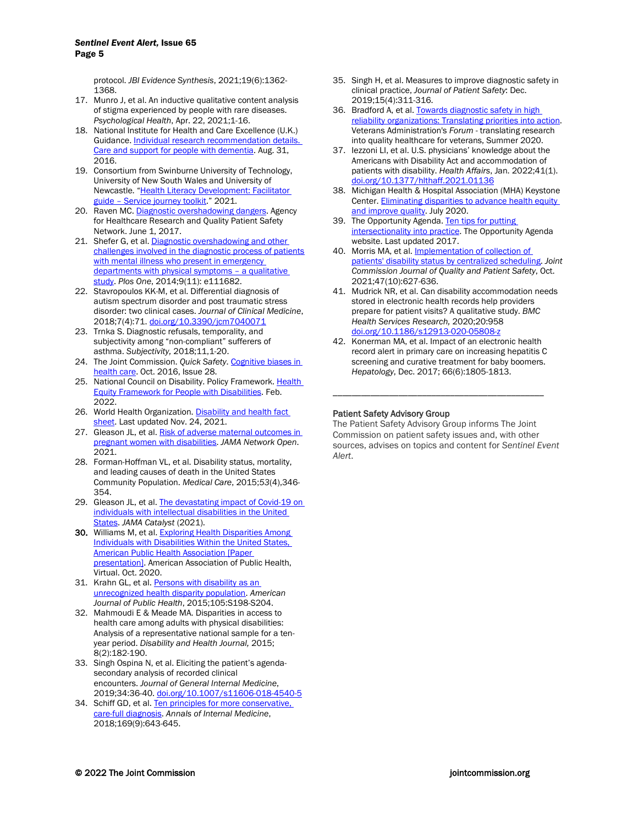protocol. *JBI Evidence Synthesis*, 2021;19(6):1362- 1368.

- 17. Munro J, et al. An inductive qualitative content analysis of stigma experienced by people with rare diseases. *Psychological Health*, Apr. 22, 2021;1-16.
- 18. National Institute for Health and Care Excellence (U.K.) Guidance[. Individual research recommendation details.](https://www.nice.org.uk/researchrecommendation/care-and-support-for-people-with-dementia-what-is-the-effect-of-specific-interventions-to-support-people-with-dementia-during-transition-between-inpatient-mental-health-settings-and-community-or-care-home-settings)  [Care and support for people with dementia.](https://www.nice.org.uk/researchrecommendation/care-and-support-for-people-with-dementia-what-is-the-effect-of-specific-interventions-to-support-people-with-dementia-during-transition-between-inpatient-mental-health-settings-and-community-or-care-home-settings) Aug. 31, 2016.
- 19. Consortium from Swinburne University of Technology, University of New South Wales and University of Newcastle. ["Health Literacy Development: Facilitator](https://www.nswmentalhealthcommission.com.au/sites/default/files/inline-files/Facilitator%20Guide%20-%20Service%20Journey%20Toolkit-compressed.pdf)  guide – [Service journey toolkit.](https://www.nswmentalhealthcommission.com.au/sites/default/files/inline-files/Facilitator%20Guide%20-%20Service%20Journey%20Toolkit-compressed.pdf)" 2021.
- 20. Raven MC[. Diagnostic overshadowing dangers.](https://psnet.ahrq.gov/web-mm/diagnostic-overshadowing-dangers) Agency for Healthcare Research and Quality Patient Safety Network. June 1, 2017.
- 21. Shefer G, et al. Diagnostic overshadowing and other [challenges involved in the diagnostic](https://www.ncbi.nlm.nih.gov/pmc/articles/PMC4219761/) process of patients with mental illness who present in emergency [departments with physical symptoms –](https://www.ncbi.nlm.nih.gov/pmc/articles/PMC4219761/) a qualitative [study.](https://www.ncbi.nlm.nih.gov/pmc/articles/PMC4219761/) *Plos One*, 2014;9(11): e111682.
- 22. Stavropoulos KK-M, et al. Differential diagnosis of autism spectrum disorder and post traumatic stress disorder: two clinical cases. *Journal of Clinical Medicine*, 2018;7(4):71. [doi.org/10.3390/jcm7040071](https://doi.org/10.3390/jcm7040071)
- 23. Trnka S. Diagnostic refusals, temporality, and subjectivity among "non-compliant" sufferers of asthma. *Subjectivity,* 2018;11,1-20.
- 24. The Joint Commission. *Quick Safety*. **Cognitive biases in** [health care.](https://www.jointcommission.org/resources/news-and-multimedia/newsletters/newsletters/quick-safety/quick-safety-28/#.YoetbajMJPY) Oct. 2016, Issue 28.
- 25. National Council on Disability. Policy Framework. Health [Equity Framework for People with Disabilities.](https://ncd.gov/sites/default/files/NCD_Health_Equity_Framework.pdf) Feb. 2022.
- 26. World Health Organization. Disability and health fact [sheet.](https://www.who.int/news-room/fact-sheets/detail/disability-and-health) Last updated Nov. 24, 2021.
- 27. Gleason JL, et al. [Risk of adverse maternal outcomes in](https://jamanetwork.com/journals/jamanetworkopen/fullarticle/2787181)  [pregnant women with disabilities.](https://jamanetwork.com/journals/jamanetworkopen/fullarticle/2787181) *JAMA Network Open*. 2021.
- 28. Forman-Hoffman VL, et al. Disability status, mortality, and leading causes of death in the United States Community Population. *Medical Care*, 2015;*53*(4),346- 354.
- 29. Gleason JL, et al. The devastating impact of Covid-19 on [individuals with intellectual disabilities in the United](https://catalyst.nejm.org/doi/full/10.1056/CAT.21.0051) [States.](https://catalyst.nejm.org/doi/full/10.1056/CAT.21.0051) *JAMA Catalyst* (2021).
- 30. Williams M, et al. Exploring Health Disparities Among [Individuals with Disabilities Within the United States,](https://apha.confex.com/apha/2020/meetingapp.cgi/Paper/473208)  [American Public Health Association \[Paper](https://apha.confex.com/apha/2020/meetingapp.cgi/Paper/473208)  [presentation\].](https://apha.confex.com/apha/2020/meetingapp.cgi/Paper/473208) American Association of Public Health, Virtual. Oct. 2020.
- 31. Krahn GL, et al. Persons with disability as an [unrecognized health disparity population.](https://ajph.aphapublications.org/doi/abs/10.2105/AJPH.2014.302182) *American Journal of Public Health*, 2015;105:S198-S204.
- 32. Mahmoudi E & Meade MA. Disparities in access to health care among adults with physical disabilities: Analysis of a representative national sample for a tenyear period. *Disability and Health Journal,* 2015; 8(2):182-190.
- 33. Singh Ospina N, et al. Eliciting the patient's agendasecondary analysis of recorded clinical encounters. *Journal of General Internal Medicine*, 2019;34:36-40[. doi.org/10.1007/s11606-018-4540-5](https://doi.org/10.1007/s11606-018-4540-5)
- 34. Schiff GD, et al. Ten principles for more conservative. [care-full diagnosis.](https://psnet.ahrq.gov/issue/ten-principles-more-conservative-care-full-diagnosis) *Annals of Internal Medicine*, 2018;169(9):643-645.
- 35. Singh H, et al. Measures to improve diagnostic safety in clinical practice, *Journal of Patient Safety*: Dec. 2019;15(4):311-316.
- 36. Bradford A, et al. Towards diagnostic safety in high [reliability organizations: Translating priorities into](https://www.hsrd.research.va.gov/publications/forum/summer20/default.cfm?ForumMenu=summer20-4) action. Veterans Administration's *Forum* - translating research into quality healthcare for veterans, Summer 2020.
- 37. Iezzoni LI, et al. U.S. physicians' knowledge about the Americans with Disability Act and accommodation of patients with disability. *Health Affairs*, Jan. 2022;41(1). [doi.org/10.1377/hlthaff.2021.01136](https://doi.org/10.1377/hlthaff.2021.01136)
- 38. Michigan Health & Hospital Association (MHA) Keystone Center[. Eliminating disparities to advance health](https://mha.org/Portals/0/Images/MHA%20Keystone%20Center/health_equity_guide.pdf) equity [and improve quality.](https://mha.org/Portals/0/Images/MHA%20Keystone%20Center/health_equity_guide.pdf) July 2020.
- 39. The Opportunity Agenda[. Ten tips for putting](https://www.opportunityagenda.org/explore/resources-publications/ten-tips-putting-intersectionality-practice)  [intersectionality into practice.](https://www.opportunityagenda.org/explore/resources-publications/ten-tips-putting-intersectionality-practice) The Opportunity Agenda website. Last updated 2017.
- 40. Morris MA, et al. **Implementation of collection of** [patients' disability status by centralized scheduling.](https://www.jointcommissionjournal.com/article/S1553-7250(21)00130-6/fulltext) *Joint Commission Journal of Quality and Patient Safety*, Oct. 2021;47(10):627-636.
- 41. Mudrick NR, et al. Can disability accommodation needs stored in electronic health records help providers prepare for patient visits? A qualitative study. *BMC Health Services Research,* 2020;20:958 [doi.org/10.1186/s12913-020-05808-z](https://doi.org/10.1186/s12913-020-05808-z)
- 42. Konerman MA, et al. Impact of an electronic health record alert in primary care on increasing hepatitis C screening and curative treatment for baby boomers. *Hepatology*, Dec. 2017; 66(6):1805-1813.

\_\_\_\_\_\_\_\_\_\_\_\_\_\_\_\_\_\_\_\_\_\_\_\_\_\_\_\_\_\_\_\_\_\_\_\_\_\_\_\_\_\_\_\_\_

#### Patient Safety Advisory Group

The Patient Safety Advisory Group informs The Joint Commission on patient safety issues and, with other sources, advises on topics and content for *Sentinel Event Alert*.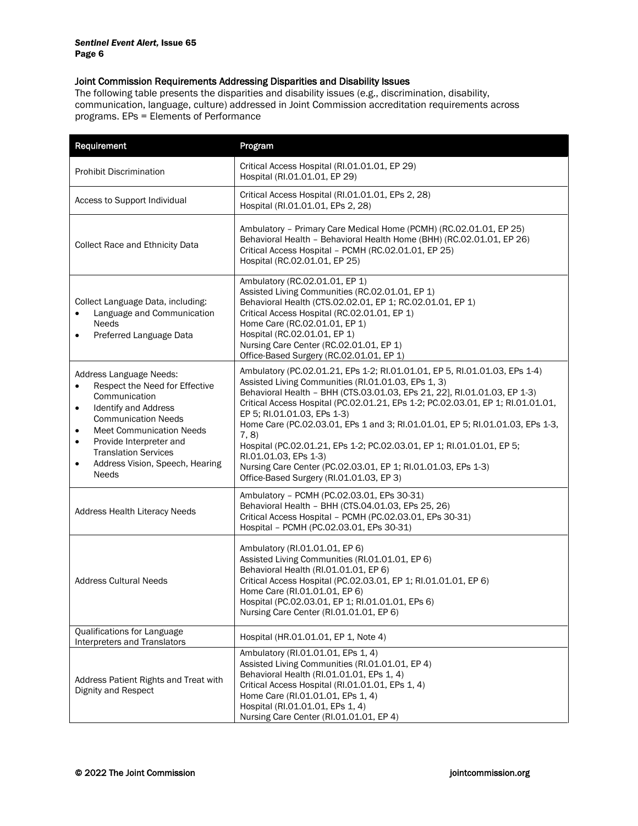### <span id="page-5-0"></span>Joint Commission Requirements Addressing Disparities and Disability Issues

The following table presents the disparities and disability issues (e.g., discrimination, disability, communication, language, culture) addressed in Joint Commission accreditation requirements across programs. EPs = Elements of Performance

| Requirement                                                                                                                                                                                                                                                                                                                                       | Program                                                                                                                                                                                                                                                                                                                                                                                                                                                                                                                                                                                                                                  |
|---------------------------------------------------------------------------------------------------------------------------------------------------------------------------------------------------------------------------------------------------------------------------------------------------------------------------------------------------|------------------------------------------------------------------------------------------------------------------------------------------------------------------------------------------------------------------------------------------------------------------------------------------------------------------------------------------------------------------------------------------------------------------------------------------------------------------------------------------------------------------------------------------------------------------------------------------------------------------------------------------|
| <b>Prohibit Discrimination</b>                                                                                                                                                                                                                                                                                                                    | Critical Access Hospital (RI.01.01.01, EP 29)<br>Hospital (RI.01.01.01, EP 29)                                                                                                                                                                                                                                                                                                                                                                                                                                                                                                                                                           |
| Access to Support Individual                                                                                                                                                                                                                                                                                                                      | Critical Access Hospital (RI.01.01.01, EPs 2, 28)<br>Hospital (RI.01.01.01, EPs 2, 28)                                                                                                                                                                                                                                                                                                                                                                                                                                                                                                                                                   |
| Collect Race and Ethnicity Data                                                                                                                                                                                                                                                                                                                   | Ambulatory - Primary Care Medical Home (PCMH) (RC.02.01.01, EP 25)<br>Behavioral Health - Behavioral Health Home (BHH) (RC.02.01.01, EP 26)<br>Critical Access Hospital - PCMH (RC.02.01.01, EP 25)<br>Hospital (RC.02.01.01, EP 25)                                                                                                                                                                                                                                                                                                                                                                                                     |
| Collect Language Data, including:<br>Language and Communication<br>$\bullet$<br><b>Needs</b><br>Preferred Language Data<br>$\bullet$                                                                                                                                                                                                              | Ambulatory (RC.02.01.01, EP 1)<br>Assisted Living Communities (RC.02.01.01, EP 1)<br>Behavioral Health (CTS.02.02.01, EP 1; RC.02.01.01, EP 1)<br>Critical Access Hospital (RC.02.01.01, EP 1)<br>Home Care (RC.02.01.01, EP 1)<br>Hospital (RC.02.01.01, EP 1)<br>Nursing Care Center (RC.02.01.01, EP 1)<br>Office-Based Surgery (RC.02.01.01, EP 1)                                                                                                                                                                                                                                                                                   |
| Address Language Needs:<br>Respect the Need for Effective<br>$\bullet$<br>Communication<br><b>Identify and Address</b><br>$\bullet$<br><b>Communication Needs</b><br><b>Meet Communication Needs</b><br>$\bullet$<br>Provide Interpreter and<br>$\bullet$<br><b>Translation Services</b><br>Address Vision, Speech, Hearing<br>$\bullet$<br>Needs | Ambulatory (PC.02.01.21, EPs 1-2; RI.01.01.01, EP 5, RI.01.01.03, EPs 1-4)<br>Assisted Living Communities (RI.01.01.03, EPs 1, 3)<br>Behavioral Health - BHH (CTS.03.01.03, EPs 21, 22], RI.01.01.03, EP 1-3)<br>Critical Access Hospital (PC.02.01.21, EPs 1-2; PC.02.03.01, EP 1; RI.01.01.01,<br>EP 5; RI.01.01.03, EPs 1-3)<br>Home Care (PC.02.03.01, EPs 1 and 3; RI.01.01.01, EP 5; RI.01.01.03, EPs 1-3,<br>7, 8)<br>Hospital (PC.02.01.21, EPs 1-2; PC.02.03.01, EP 1; RI.01.01.01, EP 5;<br>RI.01.01.03, EPs 1-3)<br>Nursing Care Center (PC.02.03.01, EP 1; RI.01.01.03, EPs 1-3)<br>Office-Based Surgery (RI.01.01.03, EP 3) |
| <b>Address Health Literacy Needs</b>                                                                                                                                                                                                                                                                                                              | Ambulatory - PCMH (PC.02.03.01, EPs 30-31)<br>Behavioral Health - BHH (CTS.04.01.03, EPs 25, 26)<br>Critical Access Hospital - PCMH (PC.02.03.01, EPs 30-31)<br>Hospital - PCMH (PC.02.03.01, EPs 30-31)                                                                                                                                                                                                                                                                                                                                                                                                                                 |
| <b>Address Cultural Needs</b>                                                                                                                                                                                                                                                                                                                     | Ambulatory (RI.01.01.01, EP 6)<br>Assisted Living Communities (RI.01.01.01, EP 6)<br>Behavioral Health (RI.01.01.01, EP 6)<br>Critical Access Hospital (PC.02.03.01, EP 1; RI.01.01.01, EP 6)<br>Home Care (RI.01.01.01, EP 6)<br>Hospital (PC.02.03.01, EP 1; RI.01.01.01, EPs 6)<br>Nursing Care Center (RI.01.01.01, EP 6)                                                                                                                                                                                                                                                                                                            |
| Qualifications for Language<br>Interpreters and Translators                                                                                                                                                                                                                                                                                       | Hospital (HR.01.01.01, EP 1, Note 4)                                                                                                                                                                                                                                                                                                                                                                                                                                                                                                                                                                                                     |
| Address Patient Rights and Treat with<br>Dignity and Respect                                                                                                                                                                                                                                                                                      | Ambulatory (RI.01.01.01, EPs 1, 4)<br>Assisted Living Communities (RI.01.01.01, EP 4)<br>Behavioral Health (RI.01.01.01, EPs 1, 4)<br>Critical Access Hospital (RI.01.01.01, EPs 1, 4)<br>Home Care (RI.01.01.01, EPs 1, 4)<br>Hospital (RI.01.01.01, EPs 1, 4)<br>Nursing Care Center (RI.01.01.01, EP 4)                                                                                                                                                                                                                                                                                                                               |